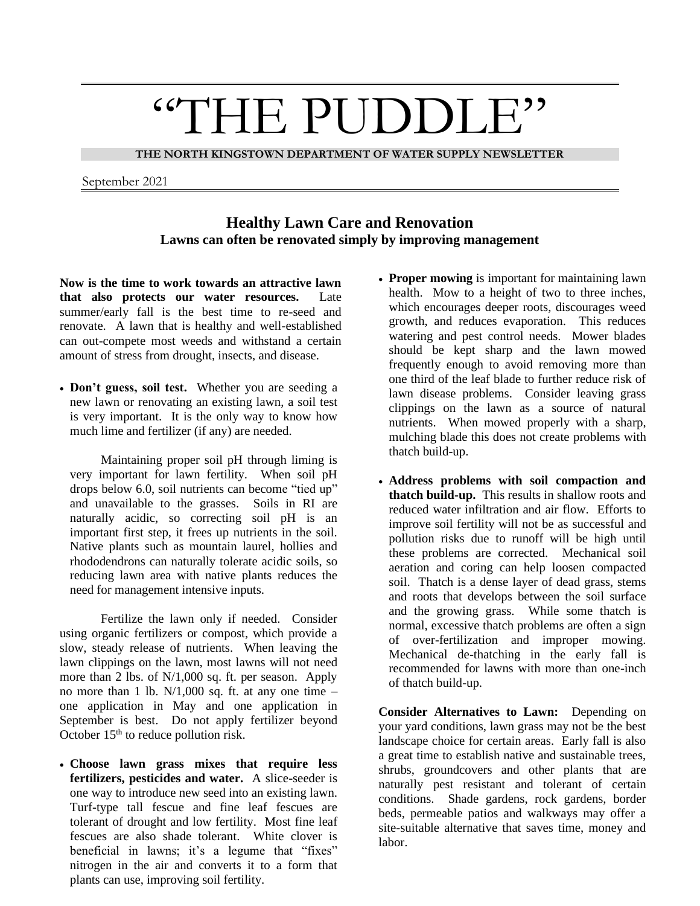## "THE PUDDLE"

**THE NORTH KINGSTOWN DEPARTMENT OF WATER SUPPLY NEWSLETTER**

September 2021

## **Healthy Lawn Care and Renovation Lawns can often be renovated simply by improving management**

**Now is the time to work towards an attractive lawn that also protects our water resources.** Late summer/early fall is the best time to re-seed and renovate. A lawn that is healthy and well-established can out-compete most weeds and withstand a certain amount of stress from drought, insects, and disease.

• **Don't guess, soil test.** Whether you are seeding a new lawn or renovating an existing lawn, a soil test is very important. It is the only way to know how much lime and fertilizer (if any) are needed.

Maintaining proper soil pH through liming is very important for lawn fertility. When soil pH drops below 6.0, soil nutrients can become "tied up" and unavailable to the grasses. Soils in RI are naturally acidic, so correcting soil pH is an important first step, it frees up nutrients in the soil. Native plants such as mountain laurel, hollies and rhododendrons can naturally tolerate acidic soils, so reducing lawn area with native plants reduces the need for management intensive inputs.

Fertilize the lawn only if needed. Consider using organic fertilizers or compost, which provide a slow, steady release of nutrients. When leaving the lawn clippings on the lawn, most lawns will not need more than 2 lbs. of N/1,000 sq. ft. per season. Apply no more than 1 lb.  $N/1,000$  sq. ft. at any one time – one application in May and one application in September is best. Do not apply fertilizer beyond October  $15<sup>th</sup>$  to reduce pollution risk.

• **Choose lawn grass mixes that require less fertilizers, pesticides and water.** A slice-seeder is one way to introduce new seed into an existing lawn. Turf-type tall fescue and fine leaf fescues are tolerant of drought and low fertility. Most fine leaf fescues are also shade tolerant. White clover is beneficial in lawns; it's a legume that "fixes" nitrogen in the air and converts it to a form that plants can use, improving soil fertility.

- **Proper mowing** is important for maintaining lawn health. Mow to a height of two to three inches, which encourages deeper roots, discourages weed growth, and reduces evaporation. This reduces watering and pest control needs. Mower blades should be kept sharp and the lawn mowed frequently enough to avoid removing more than one third of the leaf blade to further reduce risk of lawn disease problems. Consider leaving grass clippings on the lawn as a source of natural nutrients. When mowed properly with a sharp, mulching blade this does not create problems with thatch build-up.
- **Address problems with soil compaction and thatch build-up.** This results in shallow roots and reduced water infiltration and air flow. Efforts to improve soil fertility will not be as successful and pollution risks due to runoff will be high until these problems are corrected. Mechanical soil aeration and coring can help loosen compacted soil. Thatch is a dense layer of dead grass, stems and roots that develops between the soil surface and the growing grass. While some thatch is normal, excessive thatch problems are often a sign of over-fertilization and improper mowing. Mechanical de-thatching in the early fall is recommended for lawns with more than one-inch of thatch build-up.

**Consider Alternatives to Lawn:** Depending on your yard conditions, lawn grass may not be the best landscape choice for certain areas. Early fall is also a great time to establish native and sustainable trees, shrubs, groundcovers and other plants that are naturally pest resistant and tolerant of certain conditions. Shade gardens, rock gardens, border beds, permeable patios and walkways may offer a site-suitable alternative that saves time, money and labor.